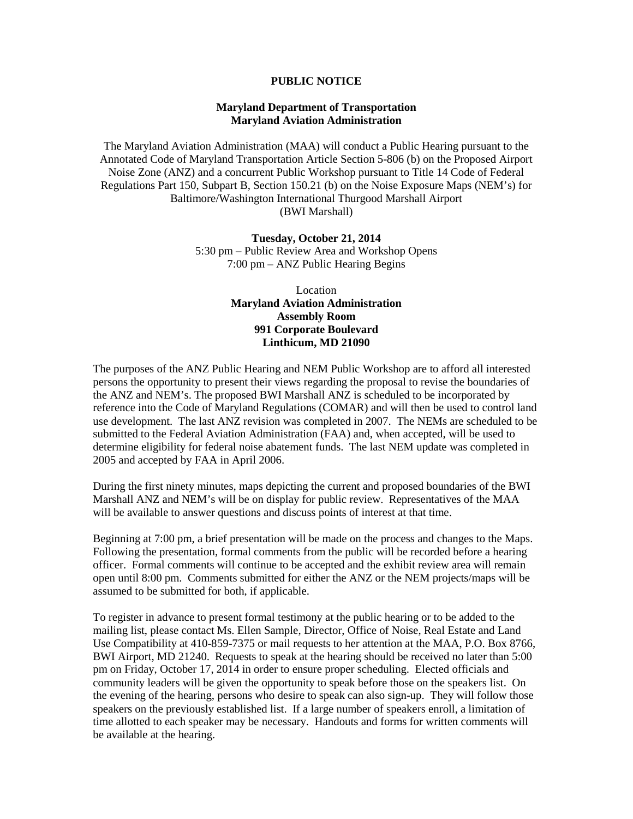## **PUBLIC NOTICE**

# **Maryland Department of Transportation Maryland Aviation Administration**

The Maryland Aviation Administration (MAA) will conduct a Public Hearing pursuant to the Annotated Code of Maryland Transportation Article Section 5-806 (b) on the Proposed Airport Noise Zone (ANZ) and a concurrent Public Workshop pursuant to Title 14 Code of Federal Regulations Part 150, Subpart B, Section 150.21 (b) on the Noise Exposure Maps (NEM's) for Baltimore/Washington International Thurgood Marshall Airport (BWI Marshall)

> **Tuesday, October 21, 2014** 5:30 pm – Public Review Area and Workshop Opens 7:00 pm – ANZ Public Hearing Begins

> > Location **Maryland Aviation Administration Assembly Room 991 Corporate Boulevard Linthicum, MD 21090**

The purposes of the ANZ Public Hearing and NEM Public Workshop are to afford all interested persons the opportunity to present their views regarding the proposal to revise the boundaries of the ANZ and NEM's. The proposed BWI Marshall ANZ is scheduled to be incorporated by reference into the Code of Maryland Regulations (COMAR) and will then be used to control land use development. The last ANZ revision was completed in 2007. The NEMs are scheduled to be submitted to the Federal Aviation Administration (FAA) and, when accepted, will be used to determine eligibility for federal noise abatement funds. The last NEM update was completed in 2005 and accepted by FAA in April 2006.

During the first ninety minutes, maps depicting the current and proposed boundaries of the BWI Marshall ANZ and NEM's will be on display for public review. Representatives of the MAA will be available to answer questions and discuss points of interest at that time.

Beginning at 7:00 pm, a brief presentation will be made on the process and changes to the Maps. Following the presentation, formal comments from the public will be recorded before a hearing officer. Formal comments will continue to be accepted and the exhibit review area will remain open until 8:00 pm. Comments submitted for either the ANZ or the NEM projects/maps will be assumed to be submitted for both, if applicable.

To register in advance to present formal testimony at the public hearing or to be added to the mailing list, please contact Ms. Ellen Sample, Director, Office of Noise, Real Estate and Land Use Compatibility at 410-859-7375 or mail requests to her attention at the MAA, P.O. Box 8766, BWI Airport, MD 21240. Requests to speak at the hearing should be received no later than 5:00 pm on Friday, October 17, 2014 in order to ensure proper scheduling. Elected officials and community leaders will be given the opportunity to speak before those on the speakers list. On the evening of the hearing, persons who desire to speak can also sign-up. They will follow those speakers on the previously established list. If a large number of speakers enroll, a limitation of time allotted to each speaker may be necessary. Handouts and forms for written comments will be available at the hearing.